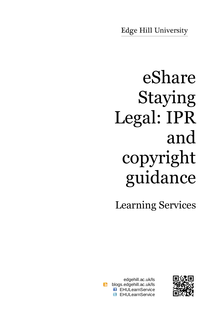# eShare Staying Legal: IPR and copyright guidance

Learning Services

edgehill.ac.uk/ls  $\overline{\mathbf{b}}$ blogs.edgehill.ac.uk/ls **B** EHULearnService **E** EHULearnService

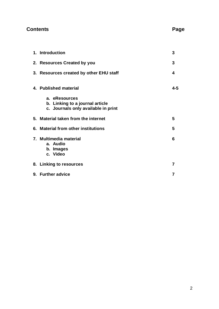# **Contents Page**

| 1. Introduction                                                                         | 3              |
|-----------------------------------------------------------------------------------------|----------------|
| 2. Resources Created by you                                                             | 3              |
| 3. Resources created by other EHU staff                                                 | 4              |
| 4. Published material                                                                   | 4-5            |
| a. eResources<br>b. Linking to a journal article<br>c. Journals only available in print |                |
| 5. Material taken from the internet                                                     | 5              |
| 6. Material from other institutions                                                     | 5              |
| 7. Multimedia material<br>a. Audio<br>b. Images<br>c. Video                             | 6              |
| 8. Linking to resources                                                                 | 7              |
| 9. Further advice                                                                       | $\overline{7}$ |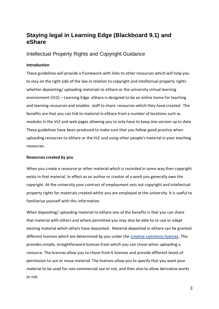# **Staying legal in Learning Edge (Blackboard 9.1) and eShare**

Intellectual Property Rights and Copyright Guidance

# **Introduction**

These guidelines will provide a framework with links to other resources which will help you to stay on the right side of the law in relation to copyright and intellectual property rights whether depositing/ uploading materials to eShare or the university virtual learning environment (VLE) – Learning Edge. eShare is designed to be an online home for teaching and learning resources and enables staff to share resources which they have created. The benefits are that you can link to material in eShare from a number of locations such as modules in the VLE and web pages allowing you to only have to keep one version up to date. These guidelines have been produced to make sure that you follow good practice when uploading resources to eShare or the VLE and using other people's material in your teaching resources.

# **Resources created by you**

When you create a resource or other material which is recorded in some way then copyright exists in that material. In effect as an author or creator of a work you generally own the copyright. At the university your contract of employment sets out copyright and intellectual property rights for materials created whilst you are employed at the university. It is useful to familiarise yourself with this information.

When depositing/ uploading material to eShare one of the benefits is that you can share that material with others and where permitted you may also be able to re-use or adapt existing material which others have deposited. Material deposited in eShare can be granted different licenses which are determined by you under the [creative commons licenses.](http://creativecommons.org/licenses/) This provides simple, straightforward licenses from which you can chose when uploading a resource. The licenses allow you to chose from 6 licenses and provide different levels of permission to use or reuse material. The licenses allow you to specify that you want your material to be used for non-commercial use or not, and then also to allow derivative works or not.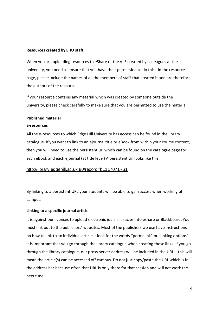## **Resources created by EHU staff**

When you are uploading resources to eShare or the VLE created by colleagues at the university, you need to ensure that you have their permission to do this. In the resource page, please include the names of all the members of staff that created it and are therefore the authors of the resource.

If your resource contains any material which was created by someone outside the university, please check carefully to make sure that you are permitted to use the material.

## **Published material**

#### **e-resources**

All the e-resources to which Edge Hill University has access can be found in the library catalogue. If you want to link to an ejournal title or eBook from within your course content, then you will need to use the persistent url which can be found on the catalogue page for each eBook and each ejournal (at title level) A persistent url looks like this:

# [http://library.edgehill.ac.uk:80/record=b1117071~S1](http://library.edgehill.ac.uk/record=b1117071~S1)

By linking to a persistent URL your students will be able to gain access when working off campus.

# **Linking to a specific journal article**

It is against our licences to upload electronic journal articles into eshare or Blackboard. You must link out to the publishers' websites. Most of the publishers we use have instructions on how to link to an individual article – look for the words "permalink" or "linking options". It is important that you go through the library catalogue when creating these links. If you go through the library catalogue, our proxy server address will be included in the URL – this will mean the article(s) can be accessed off campus. Do not just copy/paste the URL which is in the address bar because often that URL is only there for that session and will not work the next time.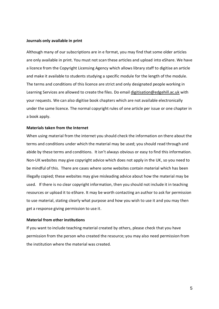#### **Journals only available in print**

Although many of our subscriptions are in e format, you may find that some older articles are only available in print. You must not scan these articles and upload into eShare. We have a licence from the Copyright Licensing Agency which allows library staff to digitise an article and make it available to students studying a specific module for the length of the module. The terms and conditions of this licence are strict and only designated people working in Learning Services are allowed to create the files. Do email [digitisation@edgehill.ac.uk](mailto:digitisation@edgehill.ac.uk) with your requests. We can also digitise book chapters which are not available electronically under the same licence. The normal copyright rules of one article per issue or one chapter in a book apply.

#### **Materials taken from the Internet**

When using material from the internet you should check the information on there about the terms and conditions under which the material may be used; you should read through and abide by these terms and conditions. It isn't always obvious or easy to find this information. Non-UK websites may give copyright advice which does not apply in the UK, so you need to be mindful of this. There are cases where some websites contain material which has been illegally copied; these websites may give misleading advice about how the material may be used. If there is no clear copyright information, then you should not include it in teaching resources or upload it to eShare. It may be worth contacting an author to ask for permission to use material, stating clearly what purpose and how you wish to use it and you may then get a response giving permission to use it.

#### **Material from other institutions**

If you want to include teaching material created by others, please check that you have permission from the person who created the resource; you may also need permission from the institution where the material was created.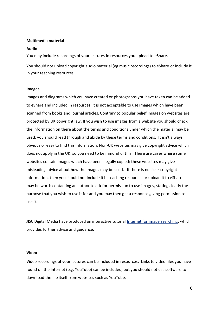#### **Multimedia material**

#### **Audio**

You may include recordings of your lectures in resources you upload to eShare.

You should not upload copyright audio material (eg music recordings) to eShare or include it in your teaching resources.

## **Images**

Images and diagrams which you have created or photographs you have taken can be added to eShare and included in resources. It is not acceptable to use images which have been scanned from books and journal articles. Contrary to popular belief images on websites are protected by UK copyright law. If you wish to use images from a website you should check the information on there about the terms and conditions under which the material may be used; you should read through and abide by these terms and conditions. It isn't always obvious or easy to find this information. Non-UK websites may give copyright advice which does not apply in the UK, so you need to be mindful of this. There are cases where some websites contain images which have been illegally copied; these websites may give misleading advice about how the images may be used. If there is no clear copyright information, then you should not include it in teaching resources or upload it to eShare. It may be worth contacting an author to ask for permission to use images, stating clearly the purpose that you wish to use it for and you may then get a response giving permission to use it.

JISC Digital Media have produced an interactive tutorial Internet for [image searching,](http://www.vts.intute.ac.uk/tutorial/imagesearching/) which provides further advice and guidance.

#### **Video**

Video recordings of your lectures can be included in resources. Links to video files you have found on the Internet (e.g. YouTube) can be included, but you should not use software to download the file itself from websites such as YouTube.